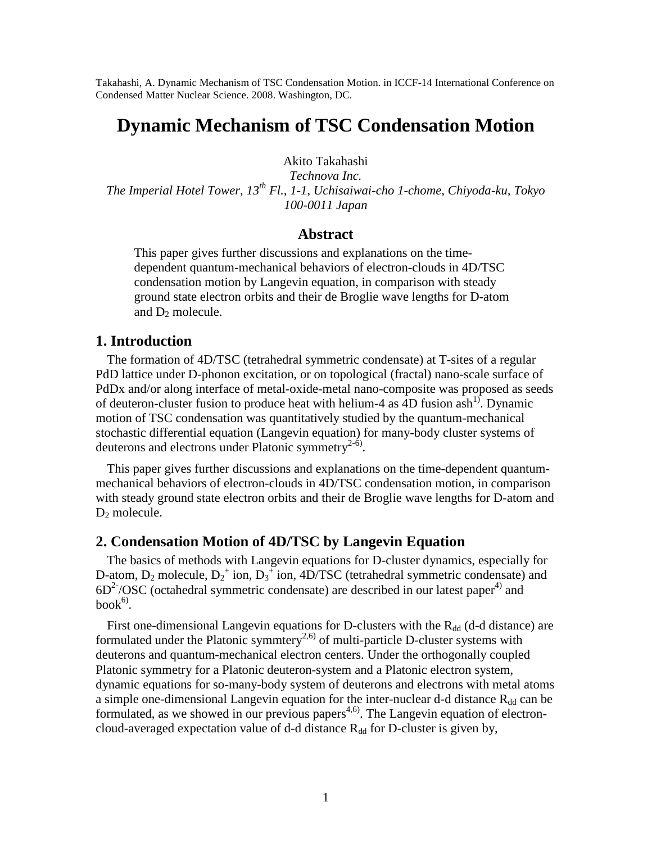Takahashi, A. Dynamic Mechanism of TSC Condensation Motion. in ICCF-14 International Conference on Condensed Matter Nuclear Science. 2008. Washington, DC.

# **Dynamic Mechanism of TSC Condensation Motion**

Akito Takahashi

*Technova Inc. The Imperial Hotel Tower, 13th Fl., 1-1, Uchisaiwai-cho 1-chome, Chiyoda-ku, Tokyo 100-0011 Japan*

## **Abstract**

This paper gives further discussions and explanations on the timedependent quantum-mechanical behaviors of electron-clouds in 4D/TSC condensation motion by Langevin equation, in comparison with steady ground state electron orbits and their de Broglie wave lengths for D-atom and  $D_2$  molecule.

## **1. Introduction**

The formation of 4D/TSC (tetrahedral symmetric condensate) at T-sites of a regular PdD lattice under D-phonon excitation, or on topological (fractal) nano-scale surface of PdDx and/or along interface of metal-oxide-metal nano-composite was proposed as seeds of deuteron-cluster fusion to produce heat with helium-4 as  $4D$  fusion ash<sup>1)</sup>. Dynamic motion of TSC condensation was quantitatively studied by the quantum-mechanical stochastic differential equation (Langevin equation) for many-body cluster systems of deuterons and electrons under Platonic symmetry<sup>2-6)</sup>.

This paper gives further discussions and explanations on the time-dependent quantummechanical behaviors of electron-clouds in 4D/TSC condensation motion, in comparison with steady ground state electron orbits and their de Broglie wave lengths for D-atom and  $D_2$  molecule.

## **2. Condensation Motion of 4D/TSC by Langevin Equation**

The basics of methods with Langevin equations for D-cluster dynamics, especially for D-atom,  $D_2$  molecule,  $D_2^+$  ion,  $D_3^+$  ion, 4D/TSC (tetrahedral symmetric condensate) and  $6D^2$ /OSC (octahedral symmetric condensate) are described in our latest paper<sup>4)</sup> and  $book<sup>6</sup>$ .

First one-dimensional Langevin equations for D-clusters with the  $R_{dd}$  (d-d distance) are formulated under the Platonic symmtery<sup>2,6)</sup> of multi-particle D-cluster systems with deuterons and quantum-mechanical electron centers. Under the orthogonally coupled Platonic symmetry for a Platonic deuteron-system and a Platonic electron system, dynamic equations for so-many-body system of deuterons and electrons with metal atoms a simple one-dimensional Langevin equation for the inter-nuclear d-d distance  $R_{dd}$  can be formulated, as we showed in our previous papers<sup>4,6)</sup>. The Langevin equation of electroncloud-averaged expectation value of d-d distance  $R_{dd}$  for D-cluster is given by,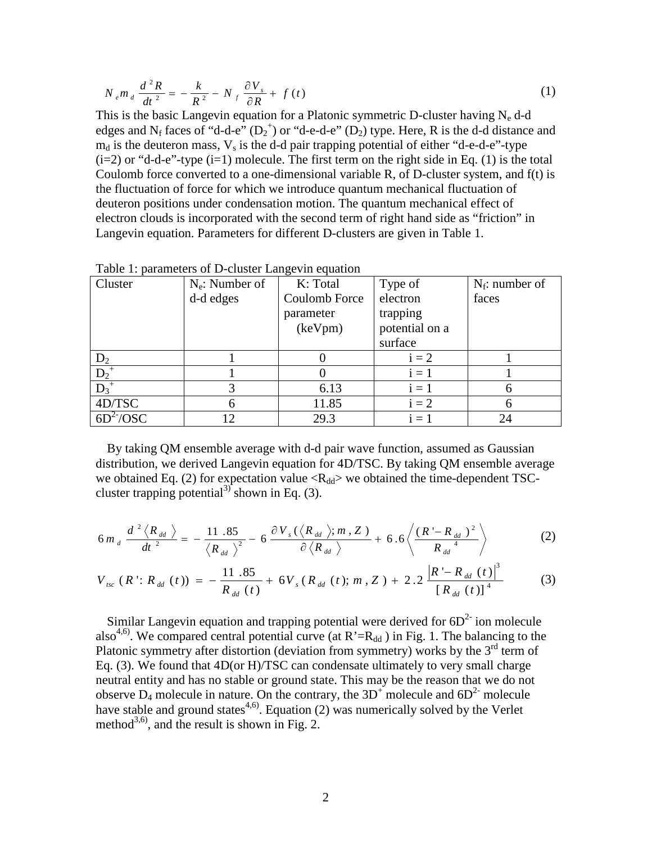$$
N_{e}m_{d}\frac{d^{2}R}{dt^{2}} = -\frac{k}{R^{2}} - N_{f}\frac{\partial V_{s}}{\partial R} + f(t)
$$
\n(1)

This is the basic Langevin equation for a Platonic symmetric D-cluster having  $N_e$  d-d edges and N<sub>f</sub> faces of "d-d-e"  $(D_2^+)$  or "d-e-d-e"  $(D_2)$  type. Here, R is the d-d distance and  $m_d$  is the deuteron mass,  $V_s$  is the d-d pair trapping potential of either "d-e-d-e"-type  $(i=2)$  or "d-d-e"-type  $(i=1)$  molecule. The first term on the right side in Eq. (1) is the total Coulomb force converted to a one-dimensional variable R, of D-cluster system, and f(t) is the fluctuation of force for which we introduce quantum mechanical fluctuation of deuteron positions under condensation motion. The quantum mechanical effect of electron clouds is incorporated with the second term of right hand side as "friction" in Langevin equation. Parameters for different D-clusters are given in Table 1.

| Cluster            | $N_e$ : Number of | K: Total             | Type of                               | $N_f$ : number of |
|--------------------|-------------------|----------------------|---------------------------------------|-------------------|
|                    | d-d edges         | Coulomb Force        | electron                              | faces             |
|                    |                   | parameter<br>(keVpm) | trapping<br>potential on a<br>surface |                   |
| $D_2$              |                   |                      | $i = 2$                               |                   |
| $D_2^+$            |                   |                      | $i=1$                                 |                   |
| $\overline{D_3}^+$ | 3                 | 6.13                 | $i=1$                                 |                   |
| 4D/TSC             | 6                 | 11.85                | $i = 2$                               |                   |
| $6D^2$ /OSC        | 12                | 29.3                 | $i=1$                                 | 24                |

Table 1: parameters of D-cluster Langevin equation

By taking QM ensemble average with d-d pair wave function, assumed as Gaussian distribution, we derived Langevin equation for 4D/TSC. By taking QM ensemble average we obtained Eq. (2) for expectation value  $\langle R_{dd} \rangle$  we obtained the time-dependent TSCcluster trapping potential<sup>3)</sup> shown in Eq. (3).

$$
6m_d \frac{d^2 \langle R_{dd} \rangle}{dt^2} = -\frac{11.85}{\langle R_{dd} \rangle^2} - 6 \frac{\partial V_s(\langle R_{dd} \rangle; m, Z)}{\partial \langle R_{dd} \rangle} + 6.6 \left\langle \frac{(R - R_{dd})^2}{R_{dd}^4} \right\rangle
$$
 (2)

$$
V_{_{tsc}}(R': R_{_{dd}}(t)) = -\frac{11.85}{R_{_{dd}}(t)} + 6V_{s}(R_{_{dd}}(t); m, Z) + 2.2\frac{|R'-R_{_{dd}}(t)|^{3}}{[R_{_{dd}}(t)]^{4}}
$$
(3)

Similar Langevin equation and trapping potential were derived for  $6D<sup>2</sup>$  ion molecule also<sup>4,6)</sup>. We compared central potential curve (at  $R' = R_{dd}$ ) in Fig. 1. The balancing to the Platonic symmetry after distortion (deviation from symmetry) works by the  $3<sup>rd</sup>$  term of Eq. (3). We found that 4D(or H)/TSC can condensate ultimately to very small charge neutral entity and has no stable or ground state. This may be the reason that we do not observe  $D_4$  molecule in nature. On the contrary, the 3D<sup>+</sup> molecule and  $6D^2$ <sup>-</sup> molecule have stable and ground states<sup>4,6)</sup>. Equation (2) was numerically solved by the Verlet method<sup>3,6)</sup>, and the result is shown in Fig. 2.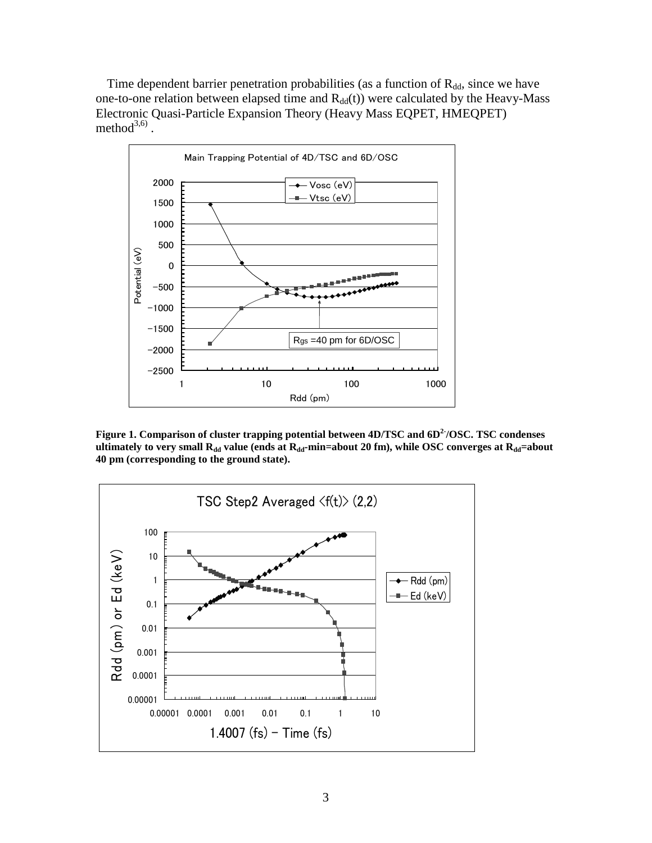Time dependent barrier penetration probabilities (as a function of  $R_{dd}$ , since we have one-to-one relation between elapsed time and  $R_{dd}(t)$ ) were calculated by the Heavy-Mass Electronic Quasi-Particle Expansion Theory (Heavy Mass EQPET, HMEQPET) method $^{3,6)}$ .



**Figure 1. Comparison of cluster trapping potential between 4D/TSC and 6D2-/OSC. TSC condenses ultimately to very small R**<sup>dd</sup> **value** (ends at R<sup><sup>dd</sup></sup>-min=about 20 fm), while OSC converges at R<sup>dd</sup>=about **40 pm (corresponding to the ground state).**

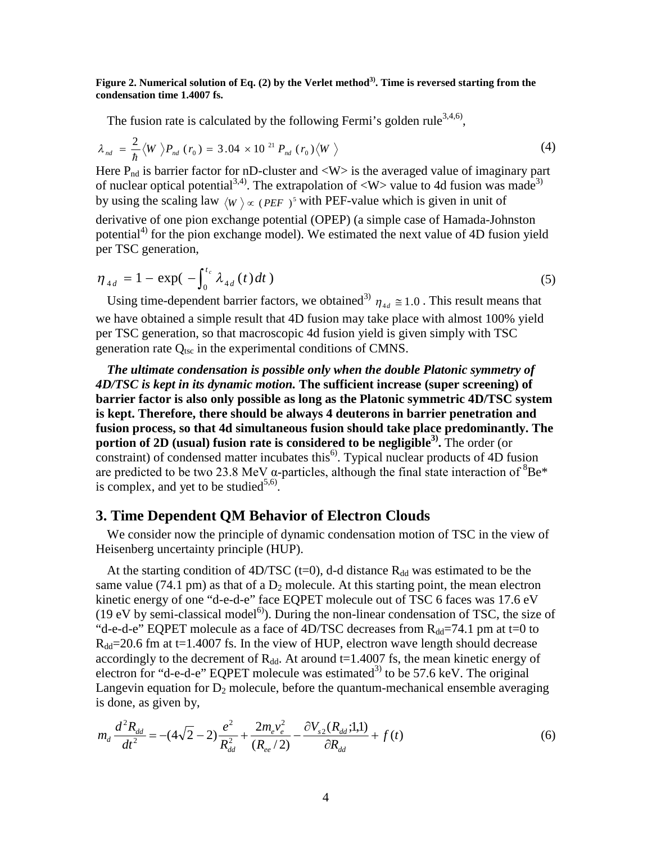#### **Figure 2. Numerical solution of Eq. (2) by the Verlet method3). Time is reversed starting from the condensation time 1.4007 fs.**

The fusion rate is calculated by the following Fermi's golden rule<sup>3,4,6</sup>,

$$
\lambda_{nd} = \frac{2}{\hbar} \langle W \rangle P_{nd} (r_0) = 3.04 \times 10^{21} P_{nd} (r_0) \langle W \rangle
$$
 (4)

Here  $P_{nd}$  is barrier factor for nD-cluster and  $\langle W \rangle$  is the averaged value of imaginary part of nuclear optical potential<sup>3,4)</sup>. The extrapolation of  $\langle W \rangle$  value to 4d fusion was made<sup>3)</sup> by using the scaling law  $\langle W \rangle \propto (PEF)^5$  with PEF-value which is given in unit of

derivative of one pion exchange potential (OPEP) (a simple case of Hamada-Johnston potential<sup>4)</sup> for the pion exchange model). We estimated the next value of 4D fusion yield per TSC generation,

$$
\eta_{4d} = 1 - \exp(-\int_0^{t_c} \lambda_{4d}(t) dt)
$$
\n(5)

Using time-dependent barrier factors, we obtained<sup>3)</sup>  $\eta_{4d} \approx 1.0$ . This result means that we have obtained a simple result that 4D fusion may take place with almost 100% yield per TSC generation, so that macroscopic 4d fusion yield is given simply with TSC generation rate  $Q_{\text{tsc}}$  in the experimental conditions of CMNS.

*The ultimate condensation is possible only when the double Platonic symmetry of 4D/TSC is kept in its dynamic motion.* **The sufficient increase (super screening) of barrier factor is also only possible as long as the Platonic symmetric 4D/TSC system is kept. Therefore, there should be always 4 deuterons in barrier penetration and fusion process, so that 4d simultaneous fusion should take place predominantly. The portion of 2D (usual) fusion rate is considered to be negligible3) .** The order (or constraint) of condensed matter incubates this<sup>6)</sup>. Typical nuclear products of 4D fusion are predicted to be two 23.8 MeV  $\alpha$ -particles, although the final state interaction of  ${}^{8}Be*$ is complex, and yet to be studied<sup>5,6)</sup>.

#### **3. Time Dependent QM Behavior of Electron Clouds**

We consider now the principle of dynamic condensation motion of TSC in the view of Heisenberg uncertainty principle (HUP).

At the starting condition of  $4D/TSC$  (t=0), d-d distance  $R_{dd}$  was estimated to be the same value (74.1 pm) as that of a  $D_2$  molecule. At this starting point, the mean electron kinetic energy of one "d-e-d-e" face EQPET molecule out of TSC 6 faces was 17.6 eV (19 eV by semi-classical model<sup>6)</sup>). During the non-linear condensation of TSC, the size of "d-e-d-e" EQPET molecule as a face of 4D/TSC decreases from  $R_{dd}$ =74.1 pm at t=0 to  $R_{dd}$ =20.6 fm at t=1.4007 fs. In the view of HUP, electron wave length should decrease accordingly to the decrement of  $R_{dd}$ . At around t=1.4007 fs, the mean kinetic energy of electron for "d-e-d-e" EQPET molecule was estimated<sup>3)</sup> to be 57.6 keV. The original Langevin equation for  $D_2$  molecule, before the quantum-mechanical ensemble averaging is done, as given by,

$$
m_d \frac{d^2 R_{dd}}{dt^2} = -(4\sqrt{2} - 2)\frac{e^2}{R_{dd}^2} + \frac{2m_e v_e^2}{(R_{ee}/2)} - \frac{\partial V_{s2}(R_{dd};1,1)}{\partial R_{dd}} + f(t)
$$
(6)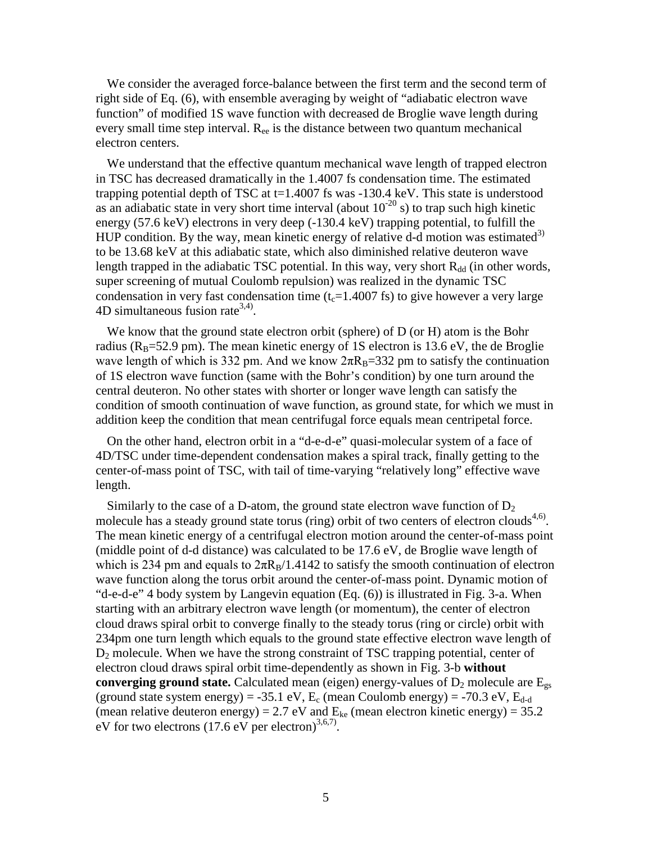We consider the averaged force-balance between the first term and the second term of right side of Eq. (6), with ensemble averaging by weight of "adiabatic electron wave function" of modified 1S wave function with decreased de Broglie wave length during every small time step interval.  $R_{ee}$  is the distance between two quantum mechanical electron centers.

We understand that the effective quantum mechanical wave length of trapped electron in TSC has decreased dramatically in the 1.4007 fs condensation time. The estimated trapping potential depth of TSC at  $t=1.4007$  fs was  $-130.4$  keV. This state is understood as an adiabatic state in very short time interval (about  $10^{-20}$  s) to trap such high kinetic energy (57.6 keV) electrons in very deep (-130.4 keV) trapping potential, to fulfill the HUP condition. By the way, mean kinetic energy of relative d-d motion was estimated<sup>3)</sup> to be 13.68 keV at this adiabatic state, which also diminished relative deuteron wave length trapped in the adiabatic TSC potential. In this way, very short  $R_{dd}$  (in other words, super screening of mutual Coulomb repulsion) was realized in the dynamic TSC condensation in very fast condensation time  $(t_c=1.4007 \text{ fs})$  to give however a very large 4D simultaneous fusion rate<sup>3,4)</sup>.

We know that the ground state electron orbit (sphere) of D (or H) atom is the Bohr radius ( $R_B$ =52.9 pm). The mean kinetic energy of 1S electron is 13.6 eV, the de Broglie wave length of which is 332 pm. And we know  $2\pi R_B=332$  pm to satisfy the continuation of 1S electron wave function (same with the Bohr's condition) by one turn around the central deuteron. No other states with shorter or longer wave length can satisfy the condition of smooth continuation of wave function, as ground state, for which we must in addition keep the condition that mean centrifugal force equals mean centripetal force.

On the other hand, electron orbit in a "d-e-d-e" quasi-molecular system of a face of 4D/TSC under time-dependent condensation makes a spiral track, finally getting to the center-of-mass point of TSC, with tail of time-varying "relatively long" effective wave length.

Similarly to the case of a D-atom, the ground state electron wave function of  $D_2$ molecule has a steady ground state torus (ring) orbit of two centers of electron clouds<sup>4,6)</sup>. The mean kinetic energy of a centrifugal electron motion around the center-of-mass point (middle point of d-d distance) was calculated to be 17.6 eV, de Broglie wave length of which is 234 pm and equals to  $2\pi R_B/1.4142$  to satisfy the smooth continuation of electron wave function along the torus orbit around the center-of-mass point. Dynamic motion of "d-e-d-e" 4 body system by Langevin equation (Eq. (6)) is illustrated in Fig. 3-a. When starting with an arbitrary electron wave length (or momentum), the center of electron cloud draws spiral orbit to converge finally to the steady torus (ring or circle) orbit with 234pm one turn length which equals to the ground state effective electron wave length of  $D_2$  molecule. When we have the strong constraint of TSC trapping potential, center of electron cloud draws spiral orbit time-dependently as shown in Fig. 3-b **without converging ground state.** Calculated mean (eigen) energy-values of  $D_2$  molecule are  $E_{gs}$ (ground state system energy) = -35.1 eV,  $E_c$  (mean Coulomb energy) = -70.3 eV,  $E_{d-d}$ (mean relative deuteron energy) = 2.7 eV and  $E_{ke}$  (mean electron kinetic energy) = 35.2 eV for two electrons  $(17.6 \text{ eV} \text{ per electron})^{3,6,7}$ .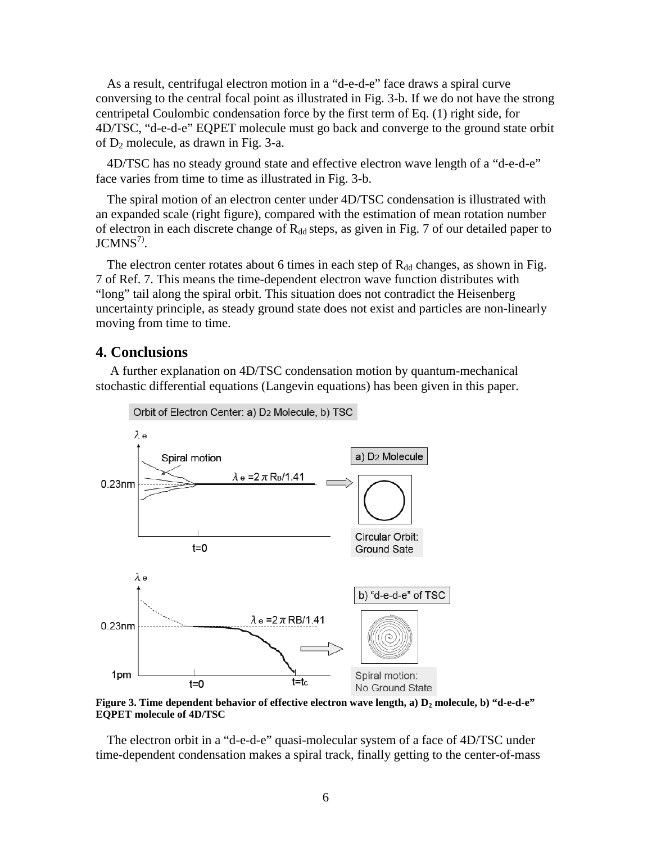As a result, centrifugal electron motion in a "d-e-d-e" face draws a spiral curve conversing to the central focal point as illustrated in Fig. 3-b. If we do not have the strong centripetal Coulombic condensation force by the first term of Eq. (1) right side, for 4D/TSC, "d-e-d-e" EQPET molecule must go back and converge to the ground state orbit of  $D_2$  molecule, as drawn in Fig. 3-a.

4D/TSC has no steady ground state and effective electron wave length of a "d-e-d-e" face varies from time to time as illustrated in Fig. 3-b.

The spiral motion of an electron center under 4D/TSC condensation is illustrated with an expanded scale (right figure), compared with the estimation of mean rotation number of electron in each discrete change of  $R_{dd}$  steps, as given in Fig. 7 of our detailed paper to  $JCMNS<sup>7</sup>$ .

The electron center rotates about 6 times in each step of  $R_{dd}$  changes, as shown in Fig. 7 of Ref. 7. This means the time-dependent electron wave function distributes with "long" tail along the spiral orbit. This situation does not contradict the Heisenberg uncertainty principle, as steady ground state does not exist and particles are non-linearly moving from time to time.

## **4. Conclusions**

A further explanation on 4D/TSC condensation motion by quantum-mechanical stochastic differential equations (Langevin equations) has been given in this paper.



**Figure 3. Time dependent behavior of effective electron wave length, a) D<sup>2</sup> molecule, b) "d-e-d-e" EQPET molecule of 4D/TSC**

The electron orbit in a "d-e-d-e" quasi-molecular system of a face of 4D/TSC under time-dependent condensation makes a spiral track, finally getting to the center-of-mass